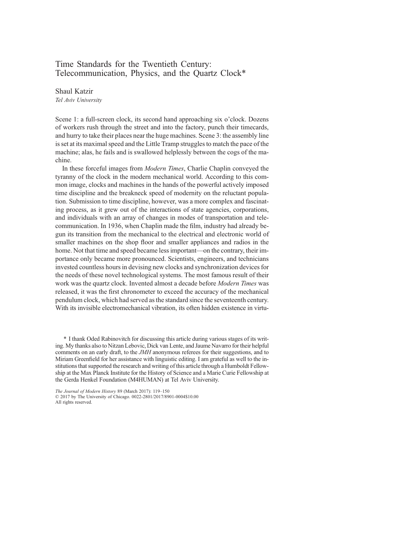# Time Standards for the Twentieth Century: Telecommunication, Physics, and the Quartz Clock\*

Shaul Katzir Tel Aviv University

Scene 1: a full-screen clock, its second hand approaching six o'clock. Dozens of workers rush through the street and into the factory, punch their timecards, and hurry to take their places near the huge machines. Scene 3: the assembly line is set at its maximal speed and the Little Tramp struggles to match the pace of the machine; alas, he fails and is swallowed helplessly between the cogs of the machine.

In these forceful images from Modern Times, Charlie Chaplin conveyed the tyranny of the clock in the modern mechanical world. According to this common image, clocks and machines in the hands of the powerful actively imposed time discipline and the breakneck speed of modernity on the reluctant population. Submission to time discipline, however, was a more complex and fascinating process, as it grew out of the interactions of state agencies, corporations, and individuals with an array of changes in modes of transportation and telecommunication. In 1936, when Chaplin made the film, industry had already begun its transition from the mechanical to the electrical and electronic world of smaller machines on the shop floor and smaller appliances and radios in the home. Not that time and speed became less important—on the contrary, their importance only became more pronounced. Scientists, engineers, and technicians invested countless hours in devising new clocks and synchronization devices for the needs of these novel technological systems. The most famous result of their work was the quartz clock. Invented almost a decade before Modern Times was released, it was the first chronometer to exceed the accuracy of the mechanical pendulum clock, which had served as the standard since the seventeenth century. With its invisible electromechanical vibration, its often hidden existence in virtu-

\* I thank Oded Rabinovitch for discussing this article during various stages of its writing. My thanks also to Nitzan Lebovic, Dick van Lente, and Jaume Navarro for their helpful comments on an early draft, to the JMH anonymous referees for their suggestions, and to Miriam Greenfield for her assistance with linguistic editing. I am grateful as well to the institutions that supported the research and writing of this article through a Humboldt Fellowship at the Max Planck Institute for the History of Science and a Marie Curie Fellowship at the Gerda Henkel Foundation (M4HUMAN) at Tel Aviv University.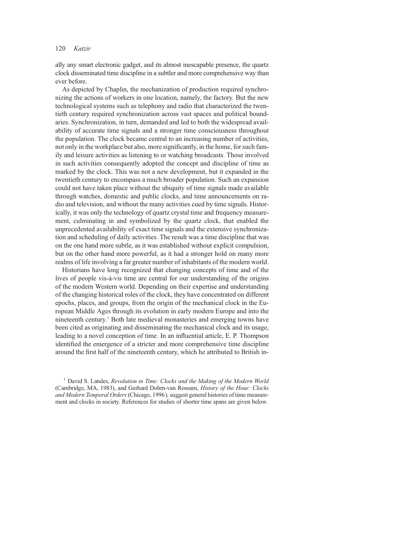ally any smart electronic gadget, and its almost inescapable presence, the quartz clock disseminated time discipline in a subtler and more comprehensive way than ever before.

As depicted by Chaplin, the mechanization of production required synchronizing the actions of workers in one location, namely, the factory. But the new technological systems such as telephony and radio that characterized the twentieth century required synchronization across vast spaces and political boundaries. Synchronization, in turn, demanded and led to both the widespread availability of accurate time signals and a stronger time consciousness throughout the population. The clock became central to an increasing number of activities, not only in the workplace but also, more significantly, in the home, for such family and leisure activities as listening to or watching broadcasts. Those involved in such activities consequently adopted the concept and discipline of time as marked by the clock. This was not a new development, but it expanded in the twentieth century to encompass a much broader population. Such an expansion could not have taken place without the ubiquity of time signals made available through watches, domestic and public clocks, and time announcements on radio and television, and without the many activities cued by time signals. Historically, it was only the technology of quartz crystal time and frequency measurement, culminating in and symbolized by the quartz clock, that enabled the unprecedented availability of exact time signals and the extensive synchronization and scheduling of daily activities. The result was a time discipline that was on the one hand more subtle, as it was established without explicit compulsion, but on the other hand more powerful, as it had a stronger hold on many more realms of life involving a far greater number of inhabitants of the modern world.

Historians have long recognized that changing concepts of time and of the lives of people vis-à-vis time are central for our understanding of the origins of the modern Western world. Depending on their expertise and understanding of the changing historical roles of the clock, they have concentrated on different epochs, places, and groups, from the origin of the mechanical clock in the European Middle Ages through its evolution in early modern Europe and into the nineteenth century.<sup>1</sup> Both late medieval monasteries and emerging towns have been cited as originating and disseminating the mechanical clock and its usage, leading to a novel conception of time. In an influential article, E. P. Thompson identified the emergence of a stricter and more comprehensive time discipline around the first half of the nineteenth century, which he attributed to British in-

<sup>1</sup> David S. Landes, Revolution in Time: Clocks and the Making of the Modern World (Cambridge, MA, 1983), and Gerhard Dohrn-van Rossum, History of the Hour: Clocks and Modern Temporal Orders (Chicago, 1996 ), suggest general histories of time measurement and clocks in society. References for studies of shorter time spans are given below.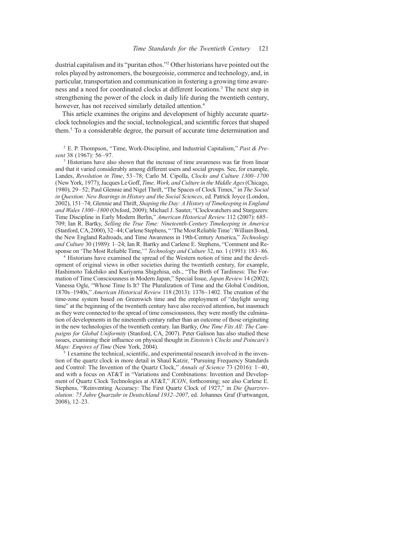dustrial capitalism and its "puritan ethos."<sup>2</sup> Other historians have pointed out the roles played by astronomers, the bourgeoisie, commerce and technology, and, in particular, transportation and communication in fostering a growing time awareness and a need for coordinated clocks at different locations.3 The next step in strengthening the power of the clock in daily life during the twentieth century, however, has not received similarly detailed attention.<sup>4</sup>

This article examines the origins and development of highly accurate quartzclock technologies and the social, technological, and scientific forces that shaped them.5 To a considerable degree, the pursuit of accurate time determination and

 $2$  E. P. Thompson, "Time, Work-Discipline, and Industrial Capitalism," Past & Present 38 (1967): 56–97.

<sup>3</sup> Historians have also shown that the increase of time awareness was far from linear and that it varied considerably among different users and social groups. See, for example, Landes, Revolution in Time, 53–78; Carlo M. Cipolla, Clocks and Culture 1300–1700 (New York, 1977); Jacques Le Goff, Time, Work, and Culture in the Middle Ages(Chicago, 1980), 29–52; Paul Glennie and Nigel Thrift, "The Spaces of Clock Times," in The Social in Question: New Bearings in History and the Social Sciences, ed. Patrick Joyce (London, 2002), 151–74; Glennie and Thrift, Shaping the Day: A History of Timekeeping in England and Wales 1300–1800 (Oxford, 2009); Michael J. Sauter, "Clockwatchers and Stargazers: Time Discipline in Early Modern Berlin," American Historical Review 112 (2007): 685– 709; Ian R. Bartky, Selling the True Time: Nineteenth-Century Timekeeping in America (Stanford, CA, 2000), 32–44; Carlene Stephens, "'The Most Reliable Time': William Bond, the New England Railroads, and Time Awareness in 19th-Century America," Technology and Culture 30 (1989): 1–24; Ian R. Bartky and Carlene E. Stephens, "Comment and Response on 'The Most Reliable Time,'" *Technology and Culture* 32, no. 1 (1991): 183–86. <sup>4</sup> Historians have examined the spread of the Western notion of time and the devel-

opment of original views in other societies during the twentieth century, for example, Hashimoto Takehiko and Kuriyama Shigehisa, eds., "The Birth of Tardiness: The Formation of Time Consciousness in Modern Japan," Special Issue, Japan Review 14 (2002); Vanessa Ogle, "Whose Time Is It? The Pluralization of Time and the Global Condition, 1870s–1940s," American Historical Review 118 (2013): 1376–1402. The creation of the time-zone system based on Greenwich time and the employment of "daylight saving time" at the beginning of the twentieth century have also received attention, but inasmuch as they were connected to the spread of time consciousness, they were mostly the culmination of developments in the nineteenth century rather than an outcome of those originating in the new technologies of the twentieth century. Ian Bartky, One Time Fits All: The Campaigns for Global Uniformity (Stanford, CA, 2007). Peter Galison has also studied these issues, examining their influence on physical thought in Einstein's Clocks and Poincaré's Maps: Empires of Time (New York, 2004).

<sup>5</sup> I examine the technical, scientific, and experimental research involved in the invention of the quartz clock in more detail in Shaul Katzir, "Pursuing Frequency Standards and Control: The Invention of the Quartz Clock," Annals of Science 73 (2016): 1–40, and with a focus on AT&T in "Variations and Combinations: Invention and Development of Quartz Clock Technologies at AT&T," ICON, forthcoming; see also Carlene E. Stephens, "Reinventing Accuracy: The First Quartz Clock of 1927," in Die Quarzrevolution: 75 Jahre Quarzuhr in Deutschland 1932–2007, ed. Johannes Graf (Furtwangen, 2008), 12–23.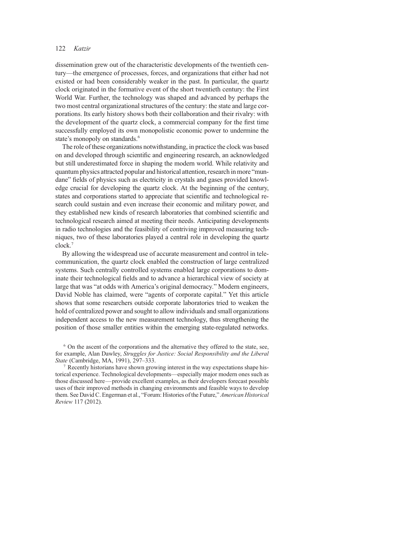dissemination grew out of the characteristic developments of the twentieth century—the emergence of processes, forces, and organizations that either had not existed or had been considerably weaker in the past. In particular, the quartz clock originated in the formative event of the short twentieth century: the First World War. Further, the technology was shaped and advanced by perhaps the two most central organizational structures of the century: the state and large corporations. Its early history shows both their collaboration and their rivalry: with the development of the quartz clock, a commercial company for the first time successfully employed its own monopolistic economic power to undermine the state's monopoly on standards.<sup>6</sup>

The role of these organizations notwithstanding, in practice the clock was based on and developed through scientific and engineering research, an acknowledged but still underestimated force in shaping the modern world. While relativity and quantum physics attracted popular and historical attention, research in more "mundane" fields of physics such as electricity in crystals and gases provided knowledge crucial for developing the quartz clock. At the beginning of the century, states and corporations started to appreciate that scientific and technological research could sustain and even increase their economic and military power, and they established new kinds of research laboratories that combined scientific and technological research aimed at meeting their needs. Anticipating developments in radio technologies and the feasibility of contriving improved measuring techniques, two of these laboratories played a central role in developing the quartz clock.7

By allowing the widespread use of accurate measurement and control in telecommunication, the quartz clock enabled the construction of large centralized systems. Such centrally controlled systems enabled large corporations to dominate their technological fields and to advance a hierarchical view of society at large that was "at odds with America's original democracy." Modern engineers, David Noble has claimed, were "agents of corporate capital." Yet this article shows that some researchers outside corporate laboratories tried to weaken the hold of centralized power and sought to allow individuals and small organizations independent access to the new measurement technology, thus strengthening the position of those smaller entities within the emerging state-regulated networks.

<sup>6</sup> On the ascent of the corporations and the alternative they offered to the state, see, for example, Alan Dawley, Struggles for Justice: Social Responsibility and the Liberal State (Cambridge, MA, 1991), 297–333.

<sup>7</sup> Recently historians have shown growing interest in the way expectations shape historical experience. Technological developments—especially major modern ones such as those discussed here—provide excellent examples, as their developers forecast possible uses of their improved methods in changing environments and feasible ways to develop them. See David C. Engerman et al., "Forum: Histories of the Future," American Historical Review 117 (2012).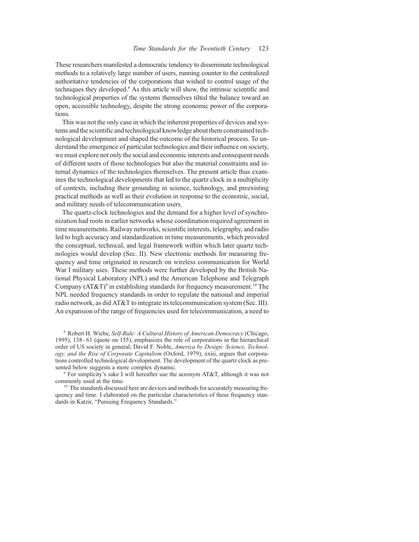These researchers manifested a democratic tendency to disseminate technological methods to a relatively large number of users, running counter to the centralized authoritative tendencies of the corporations that wished to control usage of the techniques they developed.8 As this article will show, the intrinsic scientific and technological properties of the systems themselves tilted the balance toward an open, accessible technology, despite the strong economic power of the corporations.

This was not the only case in which the inherent properties of devices and systems and the scientific and technological knowledge about them constrained technological development and shaped the outcome of the historical process. To understand the emergence of particular technologies and their influence on society, we must explore not only the social and economic interests and consequent needs of different users of those technologies but also the material constraints and internal dynamics of the technologies themselves. The present article thus examines the technological developments that led to the quartz clock in a multiplicity of contexts, including their grounding in science, technology, and preexisting practical methods as well as their evolution in response to the economic, social, and military needs of telecommunication users.

The quartz-clock technologies and the demand for a higher level of synchronization had roots in earlier networks whose coordination required agreement in time measurements. Railway networks, scientific interests, telegraphy, and radio led to high accuracy and standardization in time measurements, which provided the conceptual, technical, and legal framework within which later quartz technologies would develop (Sec. II). New electronic methods for measuring frequency and time originated in research on wireless communication for World War I military uses. These methods were further developed by the British National Physical Laboratory (NPL) and the American Telephone and Telegraph Company  $(AT&T)^9$  in establishing standards for frequency measurement.<sup>10</sup> The NPL needed frequency standards in order to regulate the national and imperial radio network, as did AT&T to integrate its telecommunication system (Sec. III). An expansion of the range of frequencies used for telecommunication, a need to

<sup>8</sup> Robert H. Wiebe, Self-Rule: A Cultural History of American Democracy (Chicago, 1995), 138–61 (quote on 155), emphasizes the role of corporations in the hierarchical order of US society in general; David F. Noble, America by Design: Science, Technology, and the Rise of Corporate Capitalism (Oxford, 1979), xxiii, argues that corporations controlled technological development. The development of the quartz clock as presented below suggests a more complex dynamic.<br><sup>9</sup> For simplicity's sake I will hereafter use the acronym AT&T, although it was not

commonly used at the time.

<sup>10</sup> The standards discussed here are devices and methods for accurately measuring frequency and time. I elaborated on the particular characteristics of these frequency standards in Katzir, "Pursuing Frequency Standards."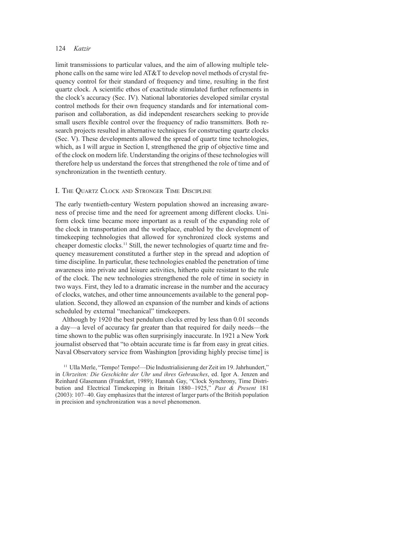limit transmissions to particular values, and the aim of allowing multiple telephone calls on the same wire led AT&T to develop novel methods of crystal frequency control for their standard of frequency and time, resulting in the first quartz clock. A scientific ethos of exactitude stimulated further refinements in the clock's accuracy (Sec. IV). National laboratories developed similar crystal control methods for their own frequency standards and for international comparison and collaboration, as did independent researchers seeking to provide small users flexible control over the frequency of radio transmitters. Both research projects resulted in alternative techniques for constructing quartz clocks (Sec. V). These developments allowed the spread of quartz time technologies, which, as I will argue in Section I, strengthened the grip of objective time and of the clock on modern life. Understanding the origins of these technologies will therefore help us understand the forces that strengthened the role of time and of synchronization in the twentieth century.

## I. The Quartz Clock and Stronger Time Discipline

The early twentieth-century Western population showed an increasing awareness of precise time and the need for agreement among different clocks. Uniform clock time became more important as a result of the expanding role of the clock in transportation and the workplace, enabled by the development of timekeeping technologies that allowed for synchronized clock systems and cheaper domestic clocks.<sup>11</sup> Still, the newer technologies of quartz time and frequency measurement constituted a further step in the spread and adoption of time discipline. In particular, these technologies enabled the penetration of time awareness into private and leisure activities, hitherto quite resistant to the rule of the clock. The new technologies strengthened the role of time in society in two ways. First, they led to a dramatic increase in the number and the accuracy of clocks, watches, and other time announcements available to the general population. Second, they allowed an expansion of the number and kinds of actions scheduled by external "mechanical" timekeepers.

Although by 1920 the best pendulum clocks erred by less than 0.01 seconds a day—a level of accuracy far greater than that required for daily needs—the time shown to the public was often surprisingly inaccurate. In 1921 a New York journalist observed that "to obtain accurate time is far from easy in great cities. Naval Observatory service from Washington [providing highly precise time] is

<sup>11</sup> Ulla Merle, "Tempo! Tempo!—Die Industrialisierung der Zeit im 19. Jahrhundert," in Uhrzeiten: Die Geschichte der Uhr und ihres Gebrauches, ed. Igor A. Jenzen and Reinhard Glasemann (Frankfurt, 1989); Hannah Gay, "Clock Synchrony, Time Distribution and Electrical Timekeeping in Britain 1880–1925," Past & Present 181 (2003): 107–40. Gay emphasizes that the interest of larger parts of the British population in precision and synchronization was a novel phenomenon.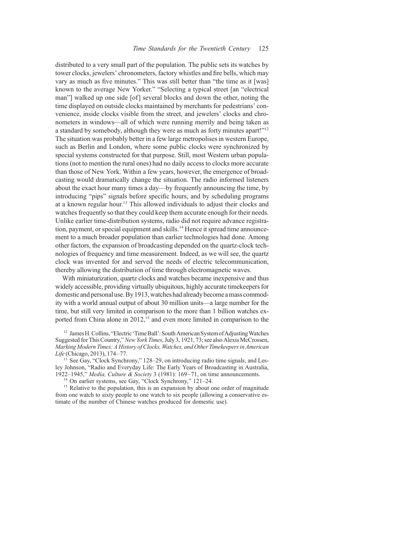distributed to a very small part of the population. The public sets its watches by tower clocks, jewelers' chronometers, factory whistles and fire bells, which may vary as much as five minutes." This was still better than "the time as it [was] known to the average New Yorker." "Selecting a typical street [an "electrical man"] walked up one side [of] several blocks and down the other, noting the time displayed on outside clocks maintained by merchants for pedestrians' convenience, inside clocks visible from the street, and jewelers' clocks and chronometers in windows—all of which were running merrily and being taken as a standard by somebody, although they were as much as forty minutes apart!"<sup>12</sup> The situation was probably better in a few large metropolises in western Europe, such as Berlin and London, where some public clocks were synchronized by special systems constructed for that purpose. Still, most Western urban populations (not to mention the rural ones) had no daily access to clocks more accurate than those of New York. Within a few years, however, the emergence of broadcasting would dramatically change the situation. The radio informed listeners about the exact hour many times a day—by frequently announcing the time, by introducing "pips" signals before specific hours, and by scheduling programs at a known regular hour.13 This allowed individuals to adjust their clocks and watches frequently so that they could keep them accurate enough for their needs. Unlike earlier time-distribution systems, radio did not require advance registration, payment, or special equipment and skills.<sup>14</sup> Hence it spread time announcement to a much broader population than earlier technologies had done. Among other factors, the expansion of broadcasting depended on the quartz-clock technologies of frequency and time measurement. Indeed, as we will see, the quartz clock was invented for and served the needs of electric telecommunication, thereby allowing the distribution of time through electromagnetic waves.

With miniaturization, quartz clocks and watches became inexpensive and thus widely accessible, providing virtually ubiquitous, highly accurate timekeepers for domestic and personal use.By 1913, watches had already become a mass commodity with a world annual output of about 30 million units—a large number for the time, but still very limited in comparison to the more than 1 billion watches exported from China alone in  $2012<sup>15</sup>$  and even more limited in comparison to the

<sup>12</sup> James H. Collins, "Electric 'Time Ball': South American System of Adjusting Watches Suggested for This Country," New York Times, July 3, 1921, 73; see also Alexis McCrossen, Marking Modern Times: A History of Clocks, Watches, and Other Timekeepers in American Life (Chicago, 2013), 174–77.<br><sup>13</sup> See Gay, "Clock Synchrony," 128–29, on introducing radio time signals, and Les-

ley Johnson, "Radio and Everyday Life: The Early Years of Broadcasting in Australia, 1922–1945," Media, Culture & Society 3 (1981): 169–71, on time announcements. <sup>14</sup> On earlier systems, see Gay, "Clock Synchrony," 121–24.

<sup>15</sup> Relative to the population, this is an expansion by about one order of magnitude from one watch to sixty people to one watch to six people (allowing a conservative estimate of the number of Chinese watches produced for domestic use).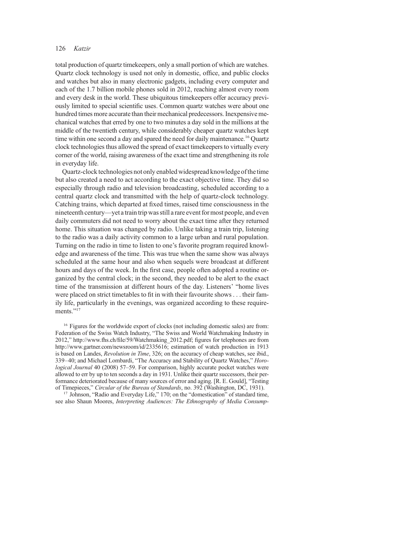total production of quartz timekeepers, only a small portion of which are watches. Quartz clock technology is used not only in domestic, office, and public clocks and watches but also in many electronic gadgets, including every computer and each of the 1.7 billion mobile phones sold in 2012, reaching almost every room and every desk in the world. These ubiquitous timekeepers offer accuracy previously limited to special scientific uses. Common quartz watches were about one hundred times more accurate than their mechanical predecessors. Inexpensive mechanical watches that erred by one to two minutes a day sold in the millions at the middle of the twentieth century, while considerably cheaper quartz watches kept time within one second a day and spared the need for daily maintenance.<sup>16</sup> Quartz clock technologies thus allowed the spread of exact timekeepers to virtually every corner of the world, raising awareness of the exact time and strengthening its role in everyday life.

Quartz-clock technologies not only enabled widespread knowledge of the time but also created a need to act according to the exact objective time. They did so especially through radio and television broadcasting, scheduled according to a central quartz clock and transmitted with the help of quartz-clock technology. Catching trains, which departed at fixed times, raised time consciousness in the nineteenth century—yet a train trip was still a rare event for most people, and even daily commuters did not need to worry about the exact time after they returned home. This situation was changed by radio. Unlike taking a train trip, listening to the radio was a daily activity common to a large urban and rural population. Turning on the radio in time to listen to one's favorite program required knowledge and awareness of the time. This was true when the same show was always scheduled at the same hour and also when sequels were broadcast at different hours and days of the week. In the first case, people often adopted a routine organized by the central clock; in the second, they needed to be alert to the exact time of the transmission at different hours of the day. Listeners' "home lives were placed on strict timetables to fit in with their favourite shows . . . their family life, particularly in the evenings, was organized according to these requirements<sup>"17</sup>

<sup>16</sup> Figures for the worldwide export of clocks (not including domestic sales) are from: Federation of the Swiss Watch Industry, "The Swiss and World Watchmaking Industry in 2012," http://www.fhs.ch/file/59/Watchmaking\_2012.pdf; figures for telephones are from http://www.gartner.com/newsroom/id/2335616; estimation of watch production in 1913 is based on Landes, Revolution in Time, 326; on the accuracy of cheap watches, see ibid., 339–40; and Michael Lombardi, "The Accuracy and Stability of Quartz Watches," Horological Journal 40 (2008) 57–59. For comparison, highly accurate pocket watches were allowed to err by up to ten seconds a day in 1931. Unlike their quartz successors, their performance deteriorated because of many sources of error and aging. [R. E. Gould], "Testing of Timepieces," Circular of the Bureau of Standards, no. 392 (Washington, DC, 1931).

<sup>17</sup> Johnson, "Radio and Everyday Life," 170; on the "domestication" of standard time, see also Shaun Moores, *Interpreting Audiences: The Ethnography of Media Consump-*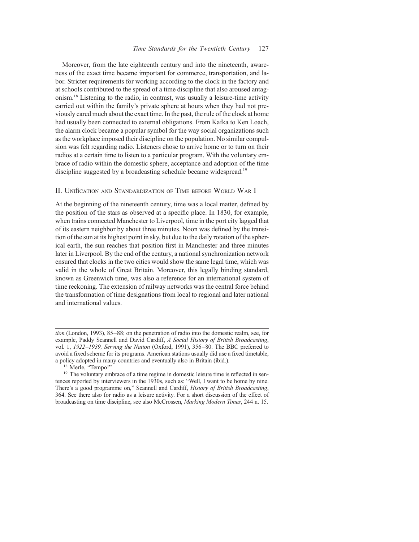Moreover, from the late eighteenth century and into the nineteenth, awareness of the exact time became important for commerce, transportation, and labor. Stricter requirements for working according to the clock in the factory and at schools contributed to the spread of a time discipline that also aroused antagonism.18 Listening to the radio, in contrast, was usually a leisure-time activity carried out within the family's private sphere at hours when they had not previously cared much about the exact time. In the past, the rule of the clock at home had usually been connected to external obligations. From Kafka to Ken Loach, the alarm clock became a popular symbol for the way social organizations such as the workplace imposed their discipline on the population. No similar compulsion was felt regarding radio. Listeners chose to arrive home or to turn on their radios at a certain time to listen to a particular program. With the voluntary embrace of radio within the domestic sphere, acceptance and adoption of the time discipline suggested by a broadcasting schedule became widespread.<sup>19</sup>

#### II. Unification and Standardization of Time before World War I

At the beginning of the nineteenth century, time was a local matter, defined by the position of the stars as observed at a specific place. In 1830, for example, when trains connected Manchester to Liverpool, time in the port city lagged that of its eastern neighbor by about three minutes. Noon was defined by the transition of the sun at its highest point in sky, but due to the daily rotation of the spherical earth, the sun reaches that position first in Manchester and three minutes later in Liverpool. By the end of the century, a national synchronization network ensured that clocks in the two cities would show the same legal time, which was valid in the whole of Great Britain. Moreover, this legally binding standard, known as Greenwich time, was also a reference for an international system of time reckoning. The extension of railway networks was the central force behind the transformation of time designations from local to regional and later national and international values.

tion (London, 1993), 85–88; on the penetration of radio into the domestic realm, see, for example, Paddy Scannell and David Cardiff, A Social History of British Broadcasting, vol. 1, 1922–1939, Serving the Nation (Oxford, 1991), 356–80. The BBC preferred to avoid a fixed scheme for its programs. American stations usually did use a fixed timetable, a policy adopted in many countries and eventually also in Britain (ibid.).

<sup>&</sup>lt;sup>18</sup> Merle, "Tempo!" The voluntary embrace of a time regime in domestic leisure time is reflected in sentences reported by interviewers in the 1930s, such as: "Well, I want to be home by nine. There's a good programme on," Scannell and Cardiff, History of British Broadcasting, 364. See there also for radio as a leisure activity. For a short discussion of the effect of broadcasting on time discipline, see also McCrossen, Marking Modern Times, 244 n. 15.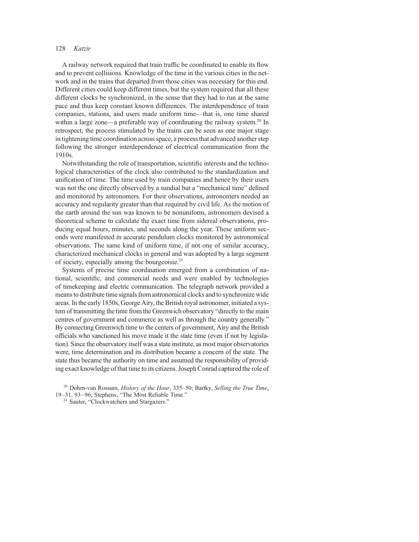A railway network required that train traffic be coordinated to enable its flow and to prevent collisions. Knowledge of the time in the various cities in the network and in the trains that departed from those cities was necessary for this end. Different cities could keep different times, but the system required that all these different clocks be synchronized, in the sense that they had to run at the same pace and thus keep constant known differences. The interdependence of train companies, stations, and users made uniform time—that is, one time shared within a large zone—a preferable way of coordinating the railway system.<sup>20</sup> In retrospect, the process stimulated by the trains can be seen as one major stage in tightening time coordination across space, a process that advanced another step following the stronger interdependence of electrical communication from the 1910s.

Notwithstanding the role of transportation, scientific interests and the technological characteristics of the clock also contributed to the standardization and unification of time. The time used by train companies and hence by their users was not the one directly observed by a sundial but a "mechanical time" defined and monitored by astronomers. For their observations, astronomers needed an accuracy and regularity greater than that required by civil life. As the motion of the earth around the sun was known to be nonuniform, astronomers devised a theoretical scheme to calculate the exact time from sidereal observations, producing equal hours, minutes, and seconds along the year. These uniform seconds were manifested in accurate pendulum clocks monitored by astronomical observations. The same kind of uniform time, if not one of similar accuracy, characterized mechanical clocks in general and was adopted by a large segment of society, especially among the bourgeoisie. $2<sup>1</sup>$ 

Systems of precise time coordination emerged from a combination of national, scientific, and commercial needs and were enabled by technologies of timekeeping and electric communication. The telegraph network provided a means to distribute time signals from astronomical clocks and to synchronize wide areas. In the early 1850s, George Airy, the British royal astronomer, initiated a system of transmitting the time from the Greenwich observatory "directly to the main centres of government and commerce as well as through the country generally." By connecting Greenwich time to the centers of government, Airy and the British officials who sanctioned his move made it the state time (even if not by legislation). Since the observatory itself was a state institute, as most major observatories were, time determination and its distribution became a concern of the state. The state thus became the authority on time and assumed the responsibility of providing exact knowledge of that time to its citizens. Joseph Conrad captured the role of

 $20$  Dohrn-van Rossum, History of the Hour, 335–50; Bartky, Selling the True Time, 19–31, 93–96; Stephens, "The Most Reliable Time."

<sup>21</sup> Sauter, "Clockwatchers and Stargazers."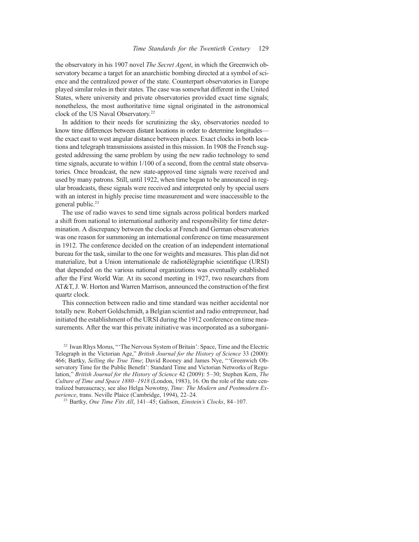the observatory in his 1907 novel The Secret Agent, in which the Greenwich observatory became a target for an anarchistic bombing directed at a symbol of science and the centralized power of the state. Counterpart observatories in Europe played similar roles in their states. The case was somewhat different in the United States, where university and private observatories provided exact time signals; nonetheless, the most authoritative time signal originated in the astronomical clock of the US Naval Observatory.<sup>22</sup>

In addition to their needs for scrutinizing the sky, observatories needed to know time differences between distant locations in order to determine longitudes the exact east to west angular distance between places. Exact clocks in both locations and telegraph transmissions assisted in this mission. In 1908 the French suggested addressing the same problem by using the new radio technology to send time signals, accurate to within 1/100 of a second, from the central state observatories. Once broadcast, the new state-approved time signals were received and used by many patrons. Still, until 1922, when time began to be announced in regular broadcasts, these signals were received and interpreted only by special users with an interest in highly precise time measurement and were inaccessible to the general public.<sup>23</sup>

The use of radio waves to send time signals across political borders marked a shift from national to international authority and responsibility for time determination. A discrepancy between the clocks at French and German observatories was one reason for summoning an international conference on time measurement in 1912. The conference decided on the creation of an independent international bureau for the task, similar to the one for weights and measures. This plan did not materialize, but a Union internationale de radiotélégraphie scientifique (URSI) that depended on the various national organizations was eventually established after the First World War. At its second meeting in 1927, two researchers from AT&T, J. W. Horton and Warren Marrison, announced the construction of the first quartz clock.

This connection between radio and time standard was neither accidental nor totally new. Robert Goldschmidt, a Belgian scientist and radio entrepreneur, had initiated the establishment of the URSI during the 1912 conference on time measurements. After the war this private initiative was incorporated as a suborgani-

<sup>22</sup> Iwan Rhys Morus, "'The Nervous System of Britain': Space, Time and the Electric Telegraph in the Victorian Age," British Journal for the History of Science 33 (2000): 466; Bartky, Selling the True Time; David Rooney and James Nye, "'Greenwich Observatory Time for the Public Benefit': Standard Time and Victorian Networks of Regulation," British Journal for the History of Science 42 (2009): 5–30; Stephen Kern, The Culture of Time and Space 1880–1918 (London, 1983), 16. On the role of the state centralized bureaucracy, see also Helga Nowotny, Time: The Modern and Postmodern Experience, trans. Neville Plaice (Cambridge, 1994), 22–24.

 $^{23}$  Bartky, *One Time Fits All*, 141–45; Galison, *Einstein's Clocks*, 84–107.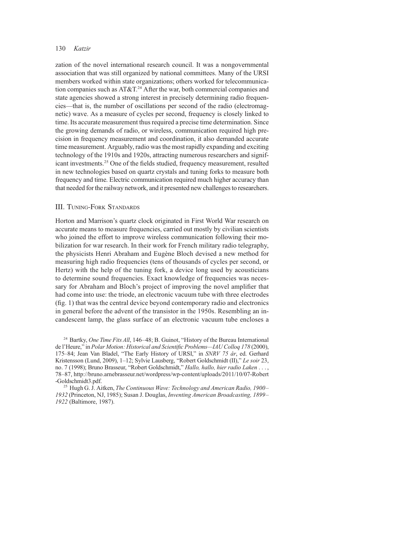zation of the novel international research council. It was a nongovernmental association that was still organized by national committees. Many of the URSI members worked within state organizations; others worked for telecommunication companies such as  $AT&T.^{24}$  After the war, both commercial companies and state agencies showed a strong interest in precisely determining radio frequencies—that is, the number of oscillations per second of the radio (electromagnetic) wave. As a measure of cycles per second, frequency is closely linked to time. Its accurate measurement thus required a precise time determination. Since the growing demands of radio, or wireless, communication required high precision in frequency measurement and coordination, it also demanded accurate time measurement. Arguably, radio was the most rapidly expanding and exciting technology of the 1910s and 1920s, attracting numerous researchers and significant investments.25 One of the fields studied, frequency measurement, resulted in new technologies based on quartz crystals and tuning forks to measure both frequency and time. Electric communication required much higher accuracy than that needed for the railway network, and it presented new challenges to researchers.

### III. Tuning-Fork Standards

Horton and Marrison's quartz clock originated in First World War research on accurate means to measure frequencies, carried out mostly by civilian scientists who joined the effort to improve wireless communication following their mobilization for war research. In their work for French military radio telegraphy, the physicists Henri Abraham and Eugène Bloch devised a new method for measuring high radio frequencies (tens of thousands of cycles per second, or Hertz) with the help of the tuning fork, a device long used by acousticians to determine sound frequencies. Exact knowledge of frequencies was necessary for Abraham and Bloch's project of improving the novel amplifier that had come into use: the triode, an electronic vacuum tube with three electrodes (fig. 1) that was the central device beyond contemporary radio and electronics in general before the advent of the transistor in the 1950s. Resembling an incandescent lamp, the glass surface of an electronic vacuum tube encloses a

<sup>24</sup> Bartky, *One Time Fits All*, 146–48; B. Guinot, "History of the Bureau International de l'Heure," in Polar Motion: Historical and Scientific Problems—IAU Colloq 178 (2000), 175–84; Jean Van Bladel, "The Early History of URSI," in SNRV 75 år, ed. Gerhard Kristensson (Lund, 2009), 1–12; Sylvie Lausberg, "Robert Goldschmidt (II)," Le soir 23, no. 7 (1998); Bruno Brasseur, "Robert Goldschmidt," Hallo, hallo, hier radio Laken ..., 78–87, http://bruno.arnebrasseur.net/wordpress/wp-content/uploads/2011/10/07-Robert -Goldschmidt3.pdf.

<sup>25</sup> Hugh G. J. Aitken, The Continuous Wave: Technology and American Radio, 1900-1932 (Princeton, NJ, 1985); Susan J. Douglas, Inventing American Broadcasting, 1899– 1922 (Baltimore, 1987).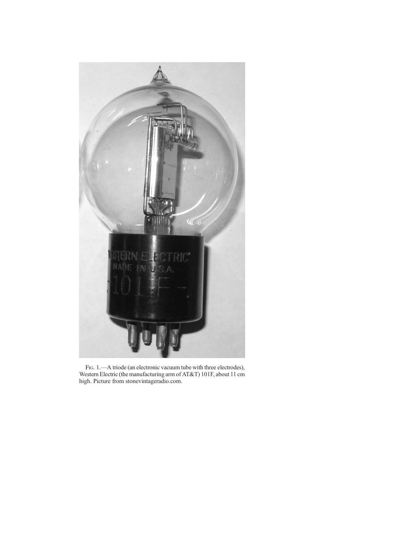

FIG. 1.—A triode (an electronic vacuum tube with three electrodes), Western Electric (the manufacturing arm of AT&T) 101F, about 11 cm high. Picture from stonevintageradio.com.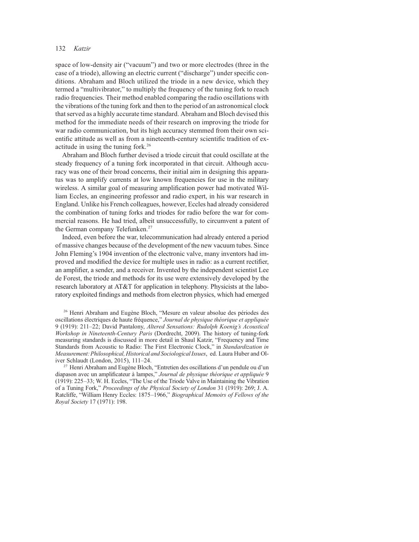space of low-density air ("vacuum") and two or more electrodes (three in the case of a triode), allowing an electric current ("discharge") under specific conditions. Abraham and Bloch utilized the triode in a new device, which they termed a "multivibrator," to multiply the frequency of the tuning fork to reach radio frequencies. Their method enabled comparing the radio oscillations with the vibrations of the tuning fork and then to the period of an astronomical clock that served as a highly accurate time standard. Abraham and Bloch devised this method for the immediate needs of their research on improving the triode for war radio communication, but its high accuracy stemmed from their own scientific attitude as well as from a nineteenth-century scientific tradition of exactitude in using the tuning fork.26

Abraham and Bloch further devised a triode circuit that could oscillate at the steady frequency of a tuning fork incorporated in that circuit. Although accuracy was one of their broad concerns, their initial aim in designing this apparatus was to amplify currents at low known frequencies for use in the military wireless. A similar goal of measuring amplification power had motivated William Eccles, an engineering professor and radio expert, in his war research in England. Unlike his French colleagues, however, Eccles had already considered the combination of tuning forks and triodes for radio before the war for commercial reasons. He had tried, albeit unsuccessfully, to circumvent a patent of the German company Telefunken.<sup>27</sup>

Indeed, even before the war, telecommunication had already entered a period of massive changes because of the development of the new vacuum tubes. Since John Fleming's 1904 invention of the electronic valve, many inventors had improved and modified the device for multiple uses in radio: as a current rectifier, an amplifier, a sender, and a receiver. Invented by the independent scientist Lee de Forest, the triode and methods for its use were extensively developed by the research laboratory at AT&T for application in telephony. Physicists at the laboratory exploited findings and methods from electron physics, which had emerged

<sup>26</sup> Henri Abraham and Eugène Bloch, "Mesure en valeur absolue des périodes des oscillations électriques de haute fréquence," Journal de physique théorique et appliquée 9 (1919): 211–22; David Pantalony, Altered Sensations: Rudolph Koenig's Acoustical Workshop in Nineteenth-Century Paris (Dordrecht, 2009). The history of tuning-fork measuring standards is discussed in more detail in Shaul Katzir, "Frequency and Time Standards from Acoustic to Radio: The First Electronic Clock," in Standardization in Measurement: Philosophical, Historical and Sociological Issues, ed. Laura Huber and Oliver Schlaudt (London, 2015), 111–24.

<sup>27</sup> Henri Abraham and Eugène Bloch, "Entretien des oscillations d'un pendule ou d'un diapason avec un amplificateur à lampes," Journal de physique théorique et appliquée 9 (1919): 225–33; W. H. Eccles, "The Use of the Triode Valve in Maintaining the Vibration of a Tuning Fork," Proceedings of the Physical Society of London 31 (1919): 269; J. A. Ratcliffe, "William Henry Eccles: 1875–1966," Biographical Memoirs of Fellows of the Royal Society 17 (1971): 198.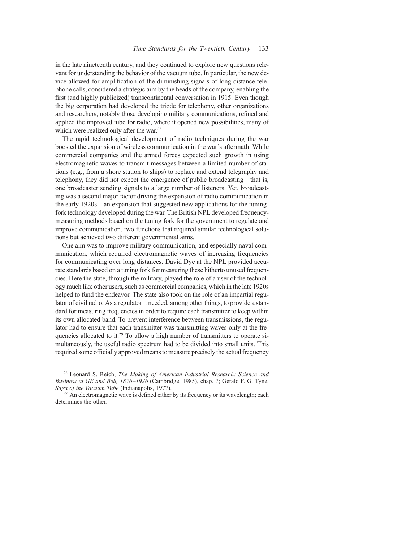in the late nineteenth century, and they continued to explore new questions relevant for understanding the behavior of the vacuum tube. In particular, the new device allowed for amplification of the diminishing signals of long-distance telephone calls, considered a strategic aim by the heads of the company, enabling the first (and highly publicized) transcontinental conversation in 1915. Even though the big corporation had developed the triode for telephony, other organizations and researchers, notably those developing military communications, refined and applied the improved tube for radio, where it opened new possibilities, many of which were realized only after the war.<sup>28</sup>

The rapid technological development of radio techniques during the war boosted the expansion of wireless communication in the war's aftermath. While commercial companies and the armed forces expected such growth in using electromagnetic waves to transmit messages between a limited number of stations (e.g., from a shore station to ships) to replace and extend telegraphy and telephony, they did not expect the emergence of public broadcasting—that is, one broadcaster sending signals to a large number of listeners. Yet, broadcasting was a second major factor driving the expansion of radio communication in the early 1920s—an expansion that suggested new applications for the tuningfork technology developed during the war. The British NPL developed frequencymeasuring methods based on the tuning fork for the government to regulate and improve communication, two functions that required similar technological solutions but achieved two different governmental aims.

One aim was to improve military communication, and especially naval communication, which required electromagnetic waves of increasing frequencies for communicating over long distances. David Dye at the NPL provided accurate standards based on a tuning fork for measuring these hitherto unused frequencies. Here the state, through the military, played the role of a user of the technology much like other users, such as commercial companies, which in the late 1920s helped to fund the endeavor. The state also took on the role of an impartial regulator of civil radio. As a regulator it needed, among other things, to provide a standard for measuring frequencies in order to require each transmitter to keep within its own allocated band. To prevent interference between transmissions, the regulator had to ensure that each transmitter was transmitting waves only at the frequencies allocated to it.<sup>29</sup> To allow a high number of transmitters to operate simultaneously, the useful radio spectrum had to be divided into small units. This required some officially approved means to measure precisely the actual frequency

 $28$  Leonard S. Reich, The Making of American Industrial Research: Science and Business at GE and Bell, 1876–1926 (Cambridge, 1985), chap. 7; Gerald F. G. Tyne, Saga of the Vacuum Tube (Indianapolis, 1977).<br><sup>29</sup> An electromagnetic wave is defined either by its frequency or its wavelength; each

determines the other.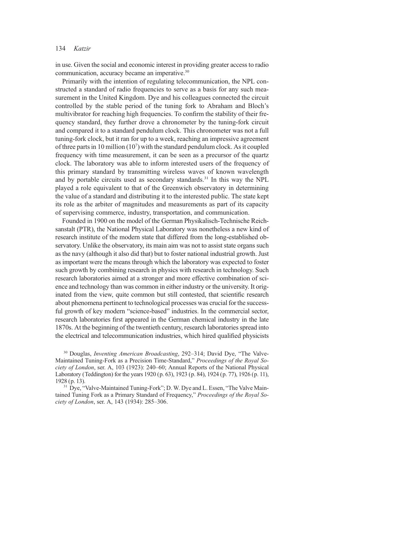in use. Given the social and economic interest in providing greater access to radio communication, accuracy became an imperative.<sup>30</sup>

Primarily with the intention of regulating telecommunication, the NPL constructed a standard of radio frequencies to serve as a basis for any such measurement in the United Kingdom. Dye and his colleagues connected the circuit controlled by the stable period of the tuning fork to Abraham and Bloch's multivibrator for reaching high frequencies. To confirm the stability of their frequency standard, they further drove a chronometer by the tuning-fork circuit and compared it to a standard pendulum clock. This chronometer was not a full tuning-fork clock, but it ran for up to a week, reaching an impressive agreement of three parts in 10 million (10<sup>7</sup>) with the standard pendulum clock. As it coupled frequency with time measurement, it can be seen as a precursor of the quartz clock. The laboratory was able to inform interested users of the frequency of this primary standard by transmitting wireless waves of known wavelength and by portable circuits used as secondary standards. $31$  In this way the NPL played a role equivalent to that of the Greenwich observatory in determining the value of a standard and distributing it to the interested public. The state kept its role as the arbiter of magnitudes and measurements as part of its capacity of supervising commerce, industry, transportation, and communication.

Founded in 1900 on the model of the German Physikalisch-Technische Reichsanstalt (PTR), the National Physical Laboratory was nonetheless a new kind of research institute of the modern state that differed from the long-established observatory. Unlike the observatory, its main aim was not to assist state organs such as the navy (although it also did that) but to foster national industrial growth. Just as important were the means through which the laboratory was expected to foster such growth by combining research in physics with research in technology. Such research laboratories aimed at a stronger and more effective combination of science and technology than was common in either industry or the university. It originated from the view, quite common but still contested, that scientific research about phenomena pertinent to technological processes was crucial for the successful growth of key modern "science-based" industries. In the commercial sector, research laboratories first appeared in the German chemical industry in the late 1870s. At the beginning of the twentieth century, research laboratories spread into the electrical and telecommunication industries, which hired qualified physicists

<sup>30</sup> Douglas, *Inventing American Broadcasting*, 292–314; David Dye, "The Valve-Maintained Tuning-Fork as a Precision Time-Standard," Proceedings of the Royal Society of London, ser. A, 103 (1923): 240–60; Annual Reports of the National Physical Laboratory (Teddington) for the years 1920 (p. 63), 1923 (p. 84), 1924 (p. 77), 1926 (p. 11), 1928 (p. 13).

<sup>31</sup> Dye, "Valve-Maintained Tuning-Fork"; D. W. Dye and L. Essen, "The Valve Maintained Tuning Fork as a Primary Standard of Frequency," Proceedings of the Royal Society of London, ser. A, 143 (1934): 285–306.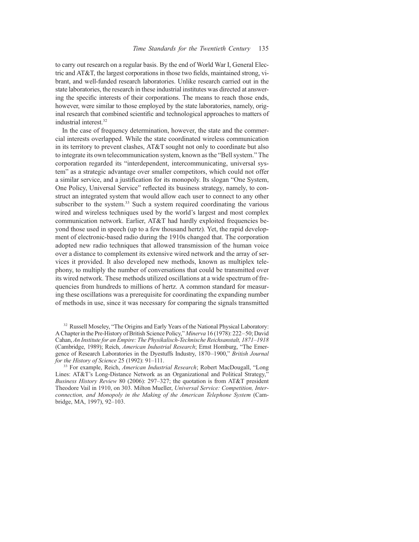to carry out research on a regular basis. By the end of World War I, General Electric and AT&T, the largest corporations in those two fields, maintained strong, vibrant, and well-funded research laboratories. Unlike research carried out in the state laboratories, the research in these industrial institutes was directed at answering the specific interests of their corporations. The means to reach those ends, however, were similar to those employed by the state laboratories, namely, original research that combined scientific and technological approaches to matters of industrial interest.<sup>32</sup>

In the case of frequency determination, however, the state and the commercial interests overlapped. While the state coordinated wireless communication in its territory to prevent clashes, AT&T sought not only to coordinate but also to integrate its own telecommunication system, known as the "Bell system." The corporation regarded its "interdependent, intercommunicating, universal system" as a strategic advantage over smaller competitors, which could not offer a similar service, and a justification for its monopoly. Its slogan "One System, One Policy, Universal Service" reflected its business strategy, namely, to construct an integrated system that would allow each user to connect to any other subscriber to the system.<sup>33</sup> Such a system required coordinating the various wired and wireless techniques used by the world's largest and most complex communication network. Earlier, AT&T had hardly exploited frequencies beyond those used in speech (up to a few thousand hertz). Yet, the rapid development of electronic-based radio during the 1910s changed that. The corporation adopted new radio techniques that allowed transmission of the human voice over a distance to complement its extensive wired network and the array of services it provided. It also developed new methods, known as multiplex telephony, to multiply the number of conversations that could be transmitted over its wired network. These methods utilized oscillations at a wide spectrum of frequencies from hundreds to millions of hertz. A common standard for measuring these oscillations was a prerequisite for coordinating the expanding number of methods in use, since it was necessary for comparing the signals transmitted

<sup>32</sup> Russell Moseley, "The Origins and Early Years of the National Physical Laboratory: A Chapter in the Pre-History of British Science Policy," Minerva 16 (1978): 222–50; David Cahan, An Institute for an Empire: The Physikalisch-Technische Reichsanstalt, 1871–1918 (Cambridge, 1989); Reich, American Industrial Research; Ernst Homburg, "The Emergence of Research Laboratories in the Dyestuffs Industry, 1870–1900," British Journal for the History of Science 25 (1992): 91-111.

<sup>33</sup> For example, Reich, *American Industrial Research*; Robert MacDougall, "Long Lines: AT&T's Long-Distance Network as an Organizational and Political Strategy," Business History Review 80 (2006): 297–327; the quotation is from AT&T president Theodore Vail in 1910, on 303. Milton Mueller, Universal Service: Competition, Interconnection, and Monopoly in the Making of the American Telephone System (Cambridge, MA, 1997), 92–103.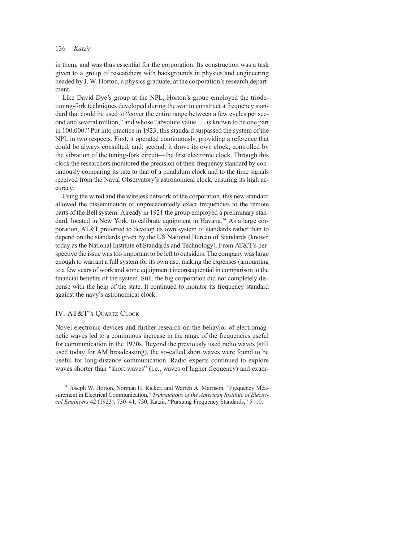in them, and was thus essential for the corporation. Its construction was a task given to a group of researchers with backgrounds in physics and engineering headed by J. W. Horton, a physics graduate, at the corporation's research department.

Like David Dye's group at the NPL, Horton's group employed the triodetuning-fork techniques developed during the war to construct a frequency standard that could be used to "cover the entire range between a few cycles per second and several million," and whose "absolute value . . . is known to be one part in 100,000." Put into practice in 1923, this standard surpassed the system of the NPL in two respects. First, it operated continuously, providing a reference that could be always consulted; and, second, it drove its own clock, controlled by the vibration of the tuning-fork circuit—the first electronic clock. Through this clock the researchers monitored the precision of their frequency standard by continuously comparing its rate to that of a pendulum clock and to the time signals received from the Naval Observatory's astronomical clock, ensuring its high accuracy.

Using the wired and the wireless network of the corporation, this new standard allowed the dissemination of unprecedentedly exact frequencies to the remote parts of the Bell system. Already in 1921 the group employed a preliminary standard, located in New York, to calibrate equipment in Havana.<sup>34</sup> As a large corporation, AT&T preferred to develop its own system of standards rather than to depend on the standards given by the US National Bureau of Standards (known today as the National Institute of Standards and Technology). From AT&T's perspective the issue was too important to be left to outsiders. The company was large enough to warrant a full system for its own use, making the expenses (amounting to a few years of work and some equipment) inconsequential in comparison to the financial benefits of the system. Still, the big corporation did not completely dispense with the help of the state. It continued to monitor its frequency standard against the navy's astronomical clock.

## IV. AT&T's QUARTZ CLOCK

Novel electronic devices and further research on the behavior of electromagnetic waves led to a continuous increase in the range of the frequencies useful for communication in the 1920s. Beyond the previously used radio waves (still used today for AM broadcasting), the so-called short waves were found to be useful for long-distance communication. Radio experts continued to explore waves shorter than "short waves" (i.e., waves of higher frequency) and exam-

<sup>34</sup> Joseph W. Horton, Norman H. Ricker, and Warren A. Marrison, "Frequency Measurement in Electrical Communication," Transactions of the American Institute of Electrical Engineers 42 (1923): 730–41, 730; Katzir, "Pursuing Frequency Standards," 5–10.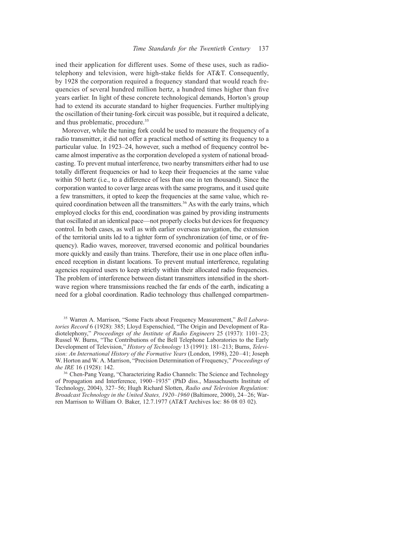ined their application for different uses. Some of these uses, such as radiotelephony and television, were high-stake fields for AT&T. Consequently, by 1928 the corporation required a frequency standard that would reach frequencies of several hundred million hertz, a hundred times higher than five years earlier. In light of these concrete technological demands, Horton's group had to extend its accurate standard to higher frequencies. Further multiplying the oscillation of their tuning-fork circuit was possible, but it required a delicate, and thus problematic, procedure.<sup>35</sup>

Moreover, while the tuning fork could be used to measure the frequency of a radio transmitter, it did not offer a practical method of setting its frequency to a particular value. In 1923–24, however, such a method of frequency control became almost imperative as the corporation developed a system of national broadcasting. To prevent mutual interference, two nearby transmitters either had to use totally different frequencies or had to keep their frequencies at the same value within 50 hertz (i.e., to a difference of less than one in ten thousand). Since the corporation wanted to cover large areas with the same programs, and it used quite a few transmitters, it opted to keep the frequencies at the same value, which required coordination between all the transmitters.<sup>36</sup> As with the early trains, which employed clocks for this end, coordination was gained by providing instruments that oscillated at an identical pace—not properly clocks but devices for frequency control. In both cases, as well as with earlier overseas navigation, the extension of the territorial units led to a tighter form of synchronization (of time, or of frequency). Radio waves, moreover, traversed economic and political boundaries more quickly and easily than trains. Therefore, their use in one place often influenced reception in distant locations. To prevent mutual interference, regulating agencies required users to keep strictly within their allocated radio frequencies. The problem of interference between distant transmitters intensified in the shortwave region where transmissions reached the far ends of the earth, indicating a need for a global coordination. Radio technology thus challenged compartmen-

<sup>35</sup> Warren A. Marrison, "Some Facts about Frequency Measurement," Bell Laboratories Record 6 (1928): 385; Lloyd Espenschied, "The Origin and Development of Radiotelephony," Proceedings of the Institute of Radio Engineers 25 (1937): 1101–23; Russel W. Burns, "The Contributions of the Bell Telephone Laboratories to the Early Development of Television," History of Technology 13 (1991): 181–213; Burns, Television: An International History of the Formative Years (London, 1998), 220–41; Joseph W. Horton and W. A. Marrison, "Precision Determination of Frequency," Proceedings of the IRE 16 (1928): 142.<br><sup>36</sup> Chen-Pang Yeang, "Characterizing Radio Channels: The Science and Technology

of Propagation and Interference, 1900–1935" (PhD diss., Massachusetts Institute of Technology, 2004), 327–56; Hugh Richard Slotten, Radio and Television Regulation: Broadcast Technology in the United States, 1920–1960 (Baltimore, 2000), 24–26; Warren Marrison to William O. Baker, 12.7.1977 (AT&T Archives loc: 86 08 03 02).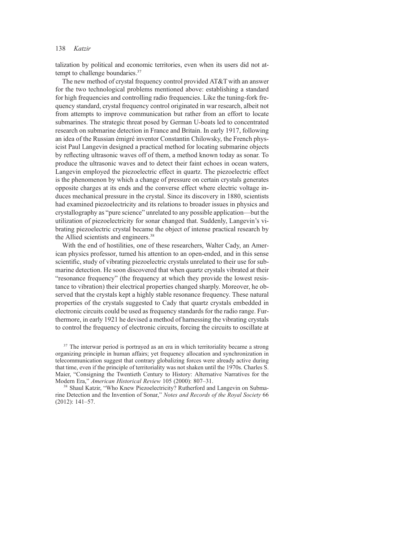talization by political and economic territories, even when its users did not attempt to challenge boundaries.<sup>37</sup>

The new method of crystal frequency control provided AT&T with an answer for the two technological problems mentioned above: establishing a standard for high frequencies and controlling radio frequencies. Like the tuning-fork frequency standard, crystal frequency control originated in war research, albeit not from attempts to improve communication but rather from an effort to locate submarines. The strategic threat posed by German U-boats led to concentrated research on submarine detection in France and Britain. In early 1917, following an idea of the Russian émigré inventor Constantin Chilowsky, the French physicist Paul Langevin designed a practical method for locating submarine objects by reflecting ultrasonic waves off of them, a method known today as sonar. To produce the ultrasonic waves and to detect their faint echoes in ocean waters, Langevin employed the piezoelectric effect in quartz. The piezoelectric effect is the phenomenon by which a change of pressure on certain crystals generates opposite charges at its ends and the converse effect where electric voltage induces mechanical pressure in the crystal. Since its discovery in 1880, scientists had examined piezoelectricity and its relations to broader issues in physics and crystallography as "pure science" unrelated to any possible application—but the utilization of piezoelectricity for sonar changed that. Suddenly, Langevin's vibrating piezoelectric crystal became the object of intense practical research by the Allied scientists and engineers.<sup>38</sup>

With the end of hostilities, one of these researchers, Walter Cady, an American physics professor, turned his attention to an open-ended, and in this sense scientific, study of vibrating piezoelectric crystals unrelated to their use for submarine detection. He soon discovered that when quartz crystals vibrated at their "resonance frequency" (the frequency at which they provide the lowest resistance to vibration) their electrical properties changed sharply. Moreover, he observed that the crystals kept a highly stable resonance frequency. These natural properties of the crystals suggested to Cady that quartz crystals embedded in electronic circuits could be used as frequency standards for the radio range. Furthermore, in early 1921 he devised a method of harnessing the vibrating crystals to control the frequency of electronic circuits, forcing the circuits to oscillate at

<sup>37</sup> The interwar period is portrayed as an era in which territoriality became a strong organizing principle in human affairs; yet frequency allocation and synchronization in telecommunication suggest that contrary globalizing forces were already active during that time, even if the principle of territoriality was not shaken until the 1970s. Charles S. Maier, "Consigning the Twentieth Century to History: Alternative Narratives for the Modern Era," American Historical Review 105 (2000): 807–31.

<sup>38</sup> Shaul Katzir, "Who Knew Piezoelectricity? Rutherford and Langevin on Submarine Detection and the Invention of Sonar," Notes and Records of the Royal Society 66 (2012): 141–57.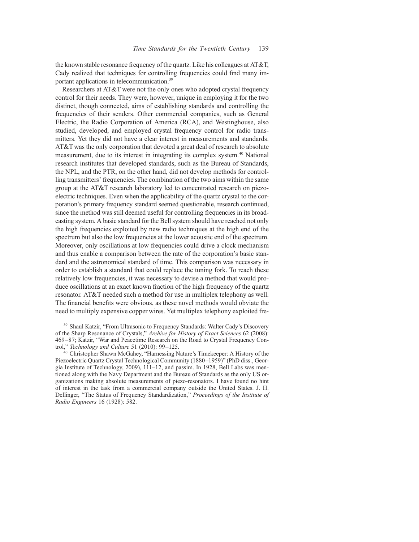the known stable resonance frequency of the quartz. Like his colleagues at AT&T, Cady realized that techniques for controlling frequencies could find many important applications in telecommunication.39

Researchers at AT&T were not the only ones who adopted crystal frequency control for their needs. They were, however, unique in employing it for the two distinct, though connected, aims of establishing standards and controlling the frequencies of their senders. Other commercial companies, such as General Electric, the Radio Corporation of America (RCA), and Westinghouse, also studied, developed, and employed crystal frequency control for radio transmitters. Yet they did not have a clear interest in measurements and standards. AT&T was the only corporation that devoted a great deal of research to absolute measurement, due to its interest in integrating its complex system.<sup>40</sup> National research institutes that developed standards, such as the Bureau of Standards, the NPL, and the PTR, on the other hand, did not develop methods for controlling transmitters' frequencies. The combination of the two aims within the same group at the AT&T research laboratory led to concentrated research on piezoelectric techniques. Even when the applicability of the quartz crystal to the corporation's primary frequency standard seemed questionable, research continued, since the method was still deemed useful for controlling frequencies in its broadcasting system. A basic standard for the Bell system should have reached not only the high frequencies exploited by new radio techniques at the high end of the spectrum but also the low frequencies at the lower acoustic end of the spectrum. Moreover, only oscillations at low frequencies could drive a clock mechanism and thus enable a comparison between the rate of the corporation's basic standard and the astronomical standard of time. This comparison was necessary in order to establish a standard that could replace the tuning fork. To reach these relatively low frequencies, it was necessary to devise a method that would produce oscillations at an exact known fraction of the high frequency of the quartz resonator. AT&T needed such a method for use in multiplex telephony as well. The financial benefits were obvious, as these novel methods would obviate the need to multiply expensive copper wires. Yet multiplex telephony exploited fre-

<sup>39</sup> Shaul Katzir, "From Ultrasonic to Frequency Standards: Walter Cady's Discovery of the Sharp Resonance of Crystals," Archive for History of Exact Sciences 62 (2008): 469–87; Katzir, "War and Peacetime Research on the Road to Crystal Frequency Control," Technology and Culture 51 (2010): 99–125.

<sup>40</sup> Christopher Shawn McGahey, "Harnessing Nature's Timekeeper: A History of the Piezoelectric Quartz Crystal Technological Community (1880–1959)" (PhD diss., Georgia Institute of Technology, 2009), 111–12, and passim. In 1928, Bell Labs was mentioned along with the Navy Department and the Bureau of Standards as the only US organizations making absolute measurements of piezo-resonators. I have found no hint of interest in the task from a commercial company outside the United States. J. H. Dellinger, "The Status of Frequency Standardization," Proceedings of the Institute of Radio Engineers 16 (1928): 582.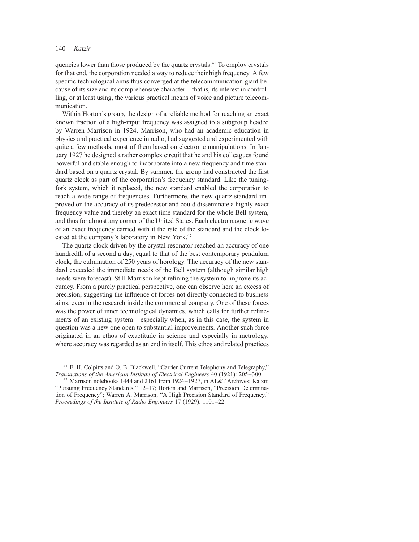quencies lower than those produced by the quartz crystals.<sup>41</sup> To employ crystals for that end, the corporation needed a way to reduce their high frequency. A few specific technological aims thus converged at the telecommunication giant because of its size and its comprehensive character—that is, its interest in controlling, or at least using, the various practical means of voice and picture telecommunication.

Within Horton's group, the design of a reliable method for reaching an exact known fraction of a high-input frequency was assigned to a subgroup headed by Warren Marrison in 1924. Marrison, who had an academic education in physics and practical experience in radio, had suggested and experimented with quite a few methods, most of them based on electronic manipulations. In January 1927 he designed a rather complex circuit that he and his colleagues found powerful and stable enough to incorporate into a new frequency and time standard based on a quartz crystal. By summer, the group had constructed the first quartz clock as part of the corporation's frequency standard. Like the tuningfork system, which it replaced, the new standard enabled the corporation to reach a wide range of frequencies. Furthermore, the new quartz standard improved on the accuracy of its predecessor and could disseminate a highly exact frequency value and thereby an exact time standard for the whole Bell system, and thus for almost any corner of the United States. Each electromagnetic wave of an exact frequency carried with it the rate of the standard and the clock located at the company's laboratory in New York.<sup>42</sup>

The quartz clock driven by the crystal resonator reached an accuracy of one hundredth of a second a day, equal to that of the best contemporary pendulum clock, the culmination of 250 years of horology. The accuracy of the new standard exceeded the immediate needs of the Bell system (although similar high needs were forecast). Still Marrison kept refining the system to improve its accuracy. From a purely practical perspective, one can observe here an excess of precision, suggesting the influence of forces not directly connected to business aims, even in the research inside the commercial company. One of these forces was the power of inner technological dynamics, which calls for further refinements of an existing system—especially when, as in this case, the system in question was a new one open to substantial improvements. Another such force originated in an ethos of exactitude in science and especially in metrology, where accuracy was regarded as an end in itself. This ethos and related practices

<sup>&</sup>lt;sup>41</sup> E. H. Colpitts and O. B. Blackwell, "Carrier Current Telephony and Telegraphy," Transactions of the American Institute of Electrical Engineers 40 (1921): 205–300. <sup>42</sup> Marrison notebooks 1444 and 2161 from 1924–1927, in AT&T Archives; Katzir,

<sup>&</sup>quot;Pursuing Frequency Standards," 12–17; Horton and Marrison, "Precision Determination of Frequency"; Warren A. Marrison, "A High Precision Standard of Frequency," Proceedings of the Institute of Radio Engineers 17 (1929): 1101–22.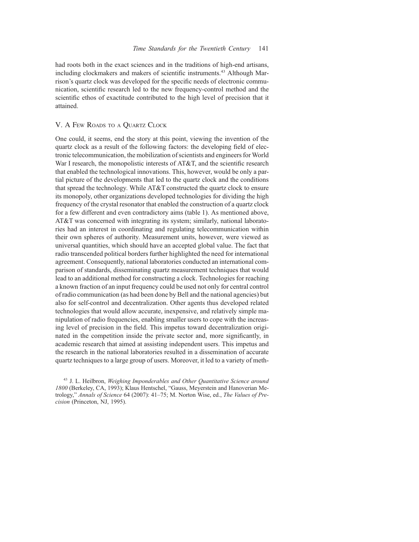had roots both in the exact sciences and in the traditions of high-end artisans, including clockmakers and makers of scientific instruments.<sup>43</sup> Although Marrison's quartz clock was developed for the specific needs of electronic communication, scientific research led to the new frequency-control method and the scientific ethos of exactitude contributed to the high level of precision that it attained.

#### V. A Few Roads to a Quartz Clock

One could, it seems, end the story at this point, viewing the invention of the quartz clock as a result of the following factors: the developing field of electronic telecommunication, the mobilization of scientists and engineers for World War I research, the monopolistic interests of AT&T, and the scientific research that enabled the technological innovations. This, however, would be only a partial picture of the developments that led to the quartz clock and the conditions that spread the technology. While AT&T constructed the quartz clock to ensure its monopoly, other organizations developed technologies for dividing the high frequency of the crystal resonator that enabled the construction of a quartz clock for a few different and even contradictory aims (table 1). As mentioned above, AT&T was concerned with integrating its system; similarly, national laboratories had an interest in coordinating and regulating telecommunication within their own spheres of authority. Measurement units, however, were viewed as universal quantities, which should have an accepted global value. The fact that radio transcended political borders further highlighted the need for international agreement. Consequently, national laboratories conducted an international comparison of standards, disseminating quartz measurement techniques that would lead to an additional method for constructing a clock. Technologies for reaching a known fraction of an input frequency could be used not only for central control of radio communication (as had been done by Bell and the national agencies) but also for self-control and decentralization. Other agents thus developed related technologies that would allow accurate, inexpensive, and relatively simple manipulation of radio frequencies, enabling smaller users to cope with the increasing level of precision in the field. This impetus toward decentralization originated in the competition inside the private sector and, more significantly, in academic research that aimed at assisting independent users. This impetus and the research in the national laboratories resulted in a dissemination of accurate quartz techniques to a large group of users. Moreover, it led to a variety of meth-

<sup>&</sup>lt;sup>43</sup> J. L. Heilbron, *Weighing Imponderables and Other Ouantitative Science around* 1800 (Berkeley, CA, 1993); Klaus Hentschel, "Gauss, Meyerstein and Hanoverian Metrology," Annals of Science 64 (2007): 41–75; M. Norton Wise, ed., The Values of Precision (Princeton, NJ, 1995).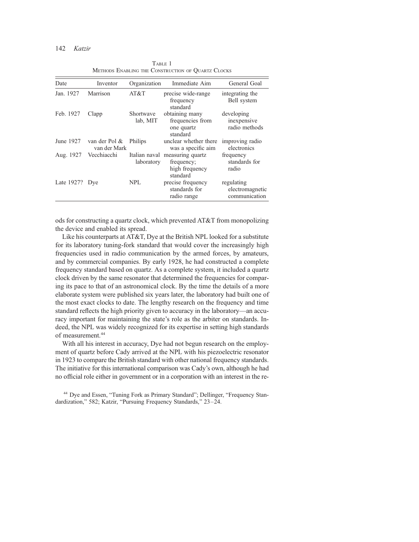| Date           | Inventor                      | Organization                | Immediate Aim                                                | General Goal                                   |
|----------------|-------------------------------|-----------------------------|--------------------------------------------------------------|------------------------------------------------|
| Jan. 1927      | Marrison                      | AT&T                        | precise wide-range<br>frequency<br>standard                  | integrating the<br>Bell system                 |
| Feb. 1927      | Clapp                         | Shortwave<br>lab, MIT       | obtaining many<br>frequencies from<br>one quartz<br>standard | developing<br>inexpensive<br>radio methods     |
| June 1927      | van der Pol &<br>van der Mark | Philips                     | unclear whether there<br>was a specific aim                  | improving radio<br>electronics                 |
| Aug. 1927      | Vecchiacchi                   | Italian naval<br>laboratory | measuring quartz<br>frequency;<br>high frequency<br>standard | frequency<br>standards for<br>radio            |
| Late 1927? Dye |                               | <b>NPL</b>                  | precise frequency<br>standards for<br>radio range            | regulating<br>electromagnetic<br>communication |

TABLE 1 Methods Enabling the Construction of Quartz Clocks

ods for constructing a quartz clock, which prevented AT&T from monopolizing the device and enabled its spread.

Like his counterparts at AT&T, Dye at the British NPL looked for a substitute for its laboratory tuning-fork standard that would cover the increasingly high frequencies used in radio communication by the armed forces, by amateurs, and by commercial companies. By early 1928, he had constructed a complete frequency standard based on quartz. As a complete system, it included a quartz clock driven by the same resonator that determined the frequencies for comparing its pace to that of an astronomical clock. By the time the details of a more elaborate system were published six years later, the laboratory had built one of the most exact clocks to date. The lengthy research on the frequency and time standard reflects the high priority given to accuracy in the laboratory—an accuracy important for maintaining the state's role as the arbiter on standards. Indeed, the NPL was widely recognized for its expertise in setting high standards of measurement.44

With all his interest in accuracy, Dye had not begun research on the employment of quartz before Cady arrived at the NPL with his piezoelectric resonator in 1923 to compare the British standard with other national frequency standards. The initiative for this international comparison was Cady's own, although he had no official role either in government or in a corporation with an interest in the re-

<sup>44</sup> Dye and Essen, "Tuning Fork as Primary Standard"; Dellinger, "Frequency Standardization," 582; Katzir, "Pursuing Frequency Standards," 23–24.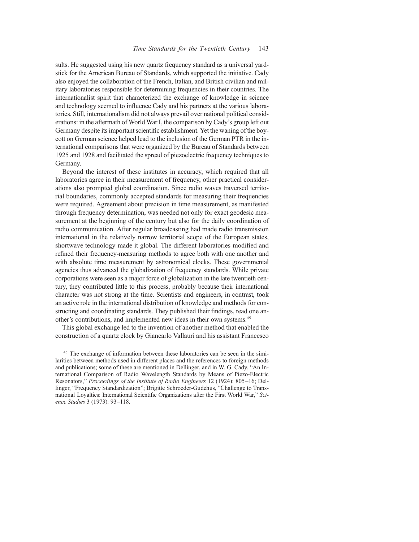sults. He suggested using his new quartz frequency standard as a universal yardstick for the American Bureau of Standards, which supported the initiative. Cady also enjoyed the collaboration of the French, Italian, and British civilian and military laboratories responsible for determining frequencies in their countries. The internationalist spirit that characterized the exchange of knowledge in science and technology seemed to influence Cady and his partners at the various laboratories. Still, internationalism did not always prevail over national political considerations: in the aftermath of World War I, the comparison by Cady's group left out Germany despite its important scientific establishment. Yet the waning of the boycott on German science helped lead to the inclusion of the German PTR in the international comparisons that were organized by the Bureau of Standards between 1925 and 1928 and facilitated the spread of piezoelectric frequency techniques to Germany.

Beyond the interest of these institutes in accuracy, which required that all laboratories agree in their measurement of frequency, other practical considerations also prompted global coordination. Since radio waves traversed territorial boundaries, commonly accepted standards for measuring their frequencies were required. Agreement about precision in time measurement, as manifested through frequency determination, was needed not only for exact geodesic measurement at the beginning of the century but also for the daily coordination of radio communication. After regular broadcasting had made radio transmission international in the relatively narrow territorial scope of the European states, shortwave technology made it global. The different laboratories modified and refined their frequency-measuring methods to agree both with one another and with absolute time measurement by astronomical clocks. These governmental agencies thus advanced the globalization of frequency standards. While private corporations were seen as a major force of globalization in the late twentieth century, they contributed little to this process, probably because their international character was not strong at the time. Scientists and engineers, in contrast, took an active role in the international distribution of knowledge and methods for constructing and coordinating standards. They published their findings, read one another's contributions, and implemented new ideas in their own systems.45

This global exchange led to the invention of another method that enabled the construction of a quartz clock by Giancarlo Vallauri and his assistant Francesco

<sup>45</sup> The exchange of information between these laboratories can be seen in the similarities between methods used in different places and the references to foreign methods and publications; some of these are mentioned in Dellinger, and in W. G. Cady, "An International Comparison of Radio Wavelength Standards by Means of Piezo-Electric Resonators," Proceedings of the Institute of Radio Engineers 12 (1924): 805–16; Dellinger, "Frequency Standardization"; Brigitte Schroeder-Gudehus, "Challenge to Transnational Loyalties: International Scientific Organizations after the First World War," Science Studies 3 (1973): 93–118.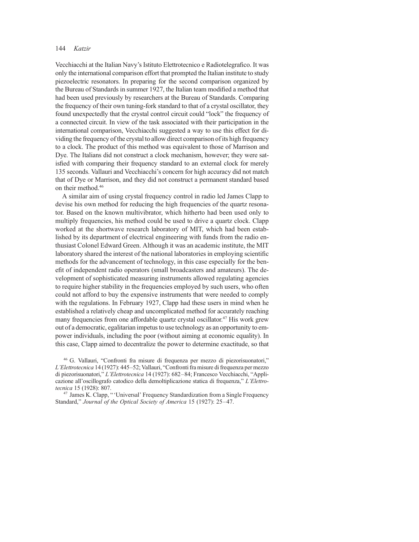Vecchiacchi at the Italian Navy's Istituto Elettrotecnico e Radiotelegrafico. It was only the international comparison effort that prompted the Italian institute to study piezoelectric resonators. In preparing for the second comparison organized by the Bureau of Standards in summer 1927, the Italian team modified a method that had been used previously by researchers at the Bureau of Standards. Comparing the frequency of their own tuning-fork standard to that of a crystal oscillator, they found unexpectedly that the crystal control circuit could "lock" the frequency of a connected circuit. In view of the task associated with their participation in the international comparison, Vecchiacchi suggested a way to use this effect for dividing the frequency of the crystal to allow direct comparison of its high frequency to a clock. The product of this method was equivalent to those of Marrison and Dye. The Italians did not construct a clock mechanism, however; they were satisfied with comparing their frequency standard to an external clock for merely 135 seconds. Vallauri and Vecchiacchi's concern for high accuracy did not match that of Dye or Marrison, and they did not construct a permanent standard based on their method.46

A similar aim of using crystal frequency control in radio led James Clapp to devise his own method for reducing the high frequencies of the quartz resonator. Based on the known multivibrator, which hitherto had been used only to multiply frequencies, his method could be used to drive a quartz clock. Clapp worked at the shortwave research laboratory of MIT, which had been established by its department of electrical engineering with funds from the radio enthusiast Colonel Edward Green. Although it was an academic institute, the MIT laboratory shared the interest of the national laboratories in employing scientific methods for the advancement of technology, in this case especially for the benefit of independent radio operators (small broadcasters and amateurs). The development of sophisticated measuring instruments allowed regulating agencies to require higher stability in the frequencies employed by such users, who often could not afford to buy the expensive instruments that were needed to comply with the regulations. In February 1927, Clapp had these users in mind when he established a relatively cheap and uncomplicated method for accurately reaching many frequencies from one affordable quartz crystal oscillator.<sup>47</sup> His work grew out of a democratic, egalitarian impetus to use technology as an opportunity to empower individuals, including the poor (without aiming at economic equality). In this case, Clapp aimed to decentralize the power to determine exactitude, so that

<sup>46</sup> G. Vallauri, "Confronti fra misure di frequenza per mezzo di piezorisuonatori," L'Elettrotecnica 14 (1927): 445–52; Vallauri, "Confronti fra misure di frequenza per mezzo di piezorisuonatori," L'Elettrotecnica 14 (1927): 682–84; Francesco Vecchiacchi, "Applicazione all'oscillografo catodico della demoltiplicazione statica di frequenza," L'Elettrotecnica 15 (1928): 807. <sup>47</sup> James K. Clapp, " 'Universal' Frequency Standardization from a Single Frequency

Standard," Journal of the Optical Society of America 15 (1927): 25–47.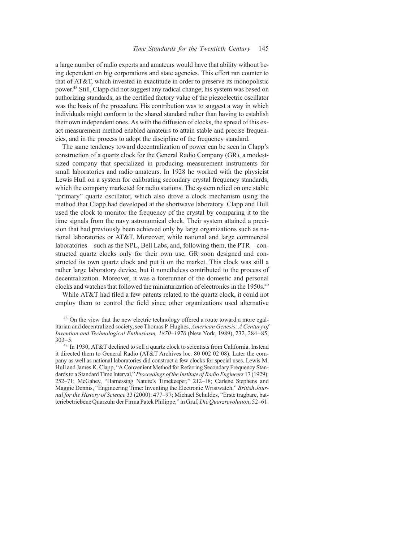a large number of radio experts and amateurs would have that ability without being dependent on big corporations and state agencies. This effort ran counter to that of AT&T, which invested in exactitude in order to preserve its monopolistic power.48 Still, Clapp did not suggest any radical change; his system was based on authorizing standards, as the certified factory value of the piezoelectric oscillator was the basis of the procedure. His contribution was to suggest a way in which individuals might conform to the shared standard rather than having to establish their own independent ones. As with the diffusion of clocks, the spread of this exact measurement method enabled amateurs to attain stable and precise frequencies, and in the process to adopt the discipline of the frequency standard.

The same tendency toward decentralization of power can be seen in Clapp's construction of a quartz clock for the General Radio Company (GR), a modestsized company that specialized in producing measurement instruments for small laboratories and radio amateurs. In 1928 he worked with the physicist Lewis Hull on a system for calibrating secondary crystal frequency standards, which the company marketed for radio stations. The system relied on one stable "primary" quartz oscillator, which also drove a clock mechanism using the method that Clapp had developed at the shortwave laboratory. Clapp and Hull used the clock to monitor the frequency of the crystal by comparing it to the time signals from the navy astronomical clock. Their system attained a precision that had previously been achieved only by large organizations such as national laboratories or AT&T. Moreover, while national and large commercial laboratories—such as the NPL, Bell Labs, and, following them, the PTR—constructed quartz clocks only for their own use, GR soon designed and constructed its own quartz clock and put it on the market. This clock was still a rather large laboratory device, but it nonetheless contributed to the process of decentralization. Moreover, it was a forerunner of the domestic and personal clocks and watches that followed the miniaturization of electronics in the 1950s.49

While AT&T had filed a few patents related to the quartz clock, it could not employ them to control the field since other organizations used alternative

<sup>48</sup> On the view that the new electric technology offered a route toward a more egalitarian and decentralized society, see Thomas P. Hughes, American Genesis: A Century of Invention and Technological Enthusiasm, 1870–1970 (New York, 1989), 232, 284–85, 303–5.

<sup>49</sup> In 1930, AT&T declined to sell a quartz clock to scientists from California. Instead it directed them to General Radio (AT&T Archives loc. 80 002 02 08). Later the company as well as national laboratories did construct a few clocks for special uses. Lewis M. Hull and James K. Clapp, "A Convenient Method for Referring Secondary Frequency Standards to a Standard Time Interval," Proceedings of the Institute of Radio Engineers 17 (1929): 252–71; McGahey, "Harnessing Nature's Timekeeper," 212–18; Carlene Stephens and Maggie Dennis, "Engineering Time: Inventing the Electronic Wristwatch," British Journal for the History of Science 33 (2000): 477–97; Michael Schuldes, "Erste tragbare, batteriebetriebene Quarzuhr der Firma Patek Philippe," in Graf, Die Quarzrevolution, 52–61.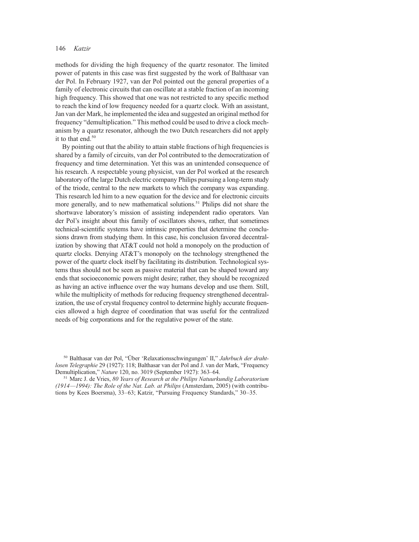methods for dividing the high frequency of the quartz resonator. The limited power of patents in this case was first suggested by the work of Balthasar van der Pol. In February 1927, van der Pol pointed out the general properties of a family of electronic circuits that can oscillate at a stable fraction of an incoming high frequency. This showed that one was not restricted to any specific method to reach the kind of low frequency needed for a quartz clock. With an assistant, Jan van der Mark, he implemented the idea and suggested an original method for frequency "demultiplication." This method could be used to drive a clock mechanism by a quartz resonator, although the two Dutch researchers did not apply it to that end.<sup>50</sup>

By pointing out that the ability to attain stable fractions of high frequencies is shared by a family of circuits, van der Pol contributed to the democratization of frequency and time determination. Yet this was an unintended consequence of his research. A respectable young physicist, van der Pol worked at the research laboratory of the large Dutch electric company Philips pursuing a long-term study of the triode, central to the new markets to which the company was expanding. This research led him to a new equation for the device and for electronic circuits more generally, and to new mathematical solutions.<sup>51</sup> Philips did not share the shortwave laboratory's mission of assisting independent radio operators. Van der Pol's insight about this family of oscillators shows, rather, that sometimes technical-scientific systems have intrinsic properties that determine the conclusions drawn from studying them. In this case, his conclusion favored decentralization by showing that AT&T could not hold a monopoly on the production of quartz clocks. Denying AT&T's monopoly on the technology strengthened the power of the quartz clock itself by facilitating its distribution. Technological systems thus should not be seen as passive material that can be shaped toward any ends that socioeconomic powers might desire; rather, they should be recognized as having an active influence over the way humans develop and use them. Still, while the multiplicity of methods for reducing frequency strengthened decentralization, the use of crystal frequency control to determine highly accurate frequencies allowed a high degree of coordination that was useful for the centralized needs of big corporations and for the regulative power of the state.

<sup>&</sup>lt;sup>50</sup> Balthasar van der Pol, "Über 'Relaxationsschwingungen' II," Jahrbuch der drahtlosen Telegraphie 29 (1927): 118; Balthasar van der Pol and J. van der Mark, "Frequency Demultiplication," Nature 120, no. 3019 (September 1927): 363–64.

 $<sup>51</sup>$  Marc J. de Vries, 80 Years of Research at the Philips Natuurkundig Laboratorium</sup> (1914—1994): The Role of the Nat. Lab. at Philips (Amsterdam, 2005) (with contributions by Kees Boersma), 33–63; Katzir, "Pursuing Frequency Standards," 30–35.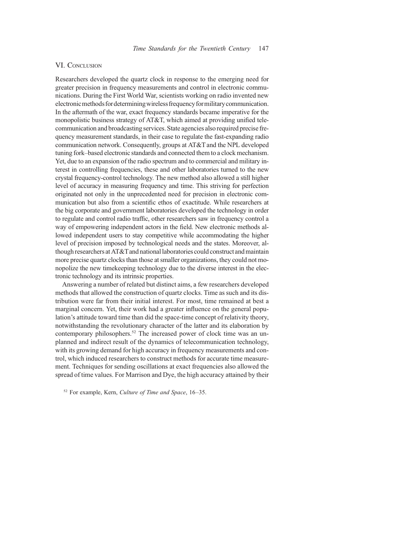#### VI. CONCLUSION

Researchers developed the quartz clock in response to the emerging need for greater precision in frequency measurements and control in electronic communications. During the First World War, scientists working on radio invented new electronicmethods fordeterminingwireless frequency formilitarycommunication. In the aftermath of the war, exact frequency standards became imperative for the monopolistic business strategy of AT&T, which aimed at providing unified telecommunication and broadcasting services. State agencies also required precise frequency measurement standards, in their case to regulate the fast-expanding radio communication network. Consequently, groups at AT&T and the NPL developed tuning fork–based electronic standards and connected them to a clock mechanism. Yet, due to an expansion of the radio spectrum and to commercial and military interest in controlling frequencies, these and other laboratories turned to the new crystal frequency-control technology. The new method also allowed a still higher level of accuracy in measuring frequency and time. This striving for perfection originated not only in the unprecedented need for precision in electronic communication but also from a scientific ethos of exactitude. While researchers at the big corporate and government laboratories developed the technology in order to regulate and control radio traffic, other researchers saw in frequency control a way of empowering independent actors in the field. New electronic methods allowed independent users to stay competitive while accommodating the higher level of precision imposed by technological needs and the states. Moreover, although researchers at AT&Tand nationallaboratories could construct and maintain more precise quartz clocks than those at smaller organizations, they could not monopolize the new timekeeping technology due to the diverse interest in the electronic technology and its intrinsic properties.

Answering a number of related but distinct aims, a few researchers developed methods that allowed the construction of quartz clocks. Time as such and its distribution were far from their initial interest. For most, time remained at best a marginal concern. Yet, their work had a greater influence on the general population's attitude toward time than did the space-time concept of relativity theory, notwithstanding the revolutionary character of the latter and its elaboration by contemporary philosophers.<sup>52</sup> The increased power of clock time was an unplanned and indirect result of the dynamics of telecommunication technology, with its growing demand for high accuracy in frequency measurements and control, which induced researchers to construct methods for accurate time measurement. Techniques for sending oscillations at exact frequencies also allowed the spread of time values. For Marrison and Dye, the high accuracy attained by their

 $52$  For example, Kern, *Culture of Time and Space*, 16–35.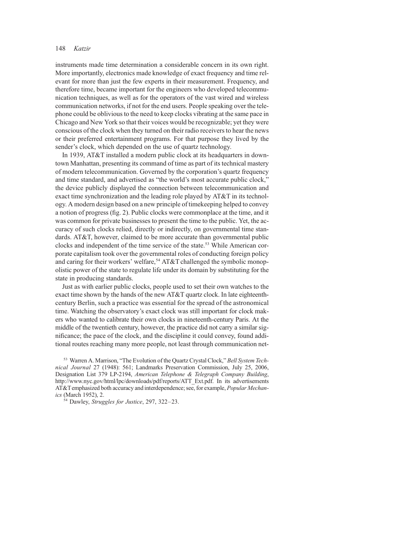instruments made time determination a considerable concern in its own right. More importantly, electronics made knowledge of exact frequency and time relevant for more than just the few experts in their measurement. Frequency, and therefore time, became important for the engineers who developed telecommunication techniques, as well as for the operators of the vast wired and wireless communication networks, if not for the end users. People speaking over the telephone could be oblivious to the need to keep clocks vibrating at the same pace in Chicago and New York so that their voices would be recognizable; yet they were conscious of the clock when they turned on their radio receivers to hear the news or their preferred entertainment programs. For that purpose they lived by the sender's clock, which depended on the use of quartz technology.

In 1939, AT&T installed a modern public clock at its headquarters in downtown Manhattan, presenting its command of time as part of its technical mastery of modern telecommunication. Governed by the corporation's quartz frequency and time standard, and advertised as "the world's most accurate public clock," the device publicly displayed the connection between telecommunication and exact time synchronization and the leading role played by AT&T in its technology. A modern design based on a new principle of timekeeping helped to convey a notion of progress (fig. 2). Public clocks were commonplace at the time, and it was common for private businesses to present the time to the public. Yet, the accuracy of such clocks relied, directly or indirectly, on governmental time standards. AT&T, however, claimed to be more accurate than governmental public clocks and independent of the time service of the state.53 While American corporate capitalism took over the governmental roles of conducting foreign policy and caring for their workers' welfare,<sup>54</sup> AT&T challenged the symbolic monopolistic power of the state to regulate life under its domain by substituting for the state in producing standards.

Just as with earlier public clocks, people used to set their own watches to the exact time shown by the hands of the new AT&T quartz clock. In late eighteenthcentury Berlin, such a practice was essential for the spread of the astronomical time. Watching the observatory's exact clock was still important for clock makers who wanted to calibrate their own clocks in nineteenth-century Paris. At the middle of the twentieth century, however, the practice did not carry a similar significance; the pace of the clock, and the discipline it could convey, found additional routes reaching many more people, not least through communication net-

<sup>53</sup> Warren A. Marrison, "The Evolution of the Quartz Crystal Clock," Bell System Technical Journal 27 (1948): 561; Landmarks Preservation Commission, July 25, 2006, Designation List 379 LP-2194, American Telephone & Telegraph Company Building, http://www.nyc.gov/html/lpc/downloads/pdf/reports/ATT\_Ext.pdf. In its advertisements AT&Temphasized both accuracy and interdependence; see, for example, Popular Mechanics (March 1952), 2.

<sup>54</sup> Dawley, *Struggles for Justice*, 297, 322–23.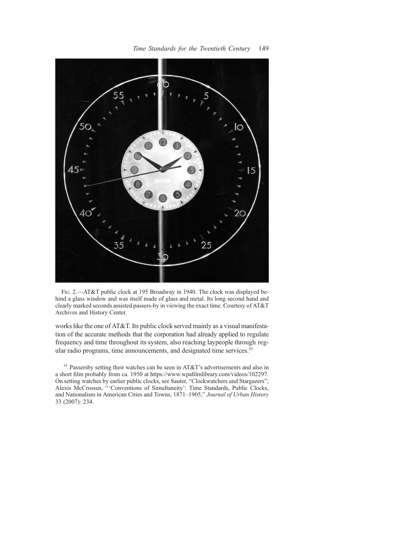

Fig. 2.—AT&T public clock at 195 Broadway in 1940. The clock was displayed behind a glass window and was itself made of glass and metal. Its long second hand and clearly marked seconds assisted passers-by in viewing the exact time. Courtesy of AT&T Archives and History Center.

works like the one of AT&T. Its public clock served mainly as a visual manifestation of the accurate methods that the corporation had already applied to regulate frequency and time throughout its system, also reaching laypeople through regular radio programs, time announcements, and designated time services.<sup>55</sup>

<sup>55</sup> Passersby setting their watches can be seen in AT&T's advertisements and also in a short film probably from ca. 1950 at https://www.wpafilmlibrary.com/videos/102297. On setting watches by earlier public clocks, see Sauter, "Clockwatchers and Stargazers"; Alexis McCrossen, "'Conventions of Simultaneity': Time Standards, Public Clocks, and Nationalism in American Cities and Towns, 1871–1905," Journal of Urban History 33 (2007): 234.